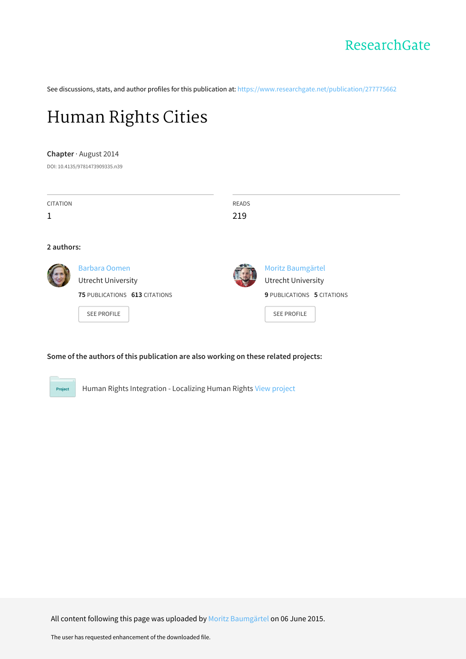

See discussions, stats, and author profiles for this publication at: [https://www.researchgate.net/publication/277775662](https://www.researchgate.net/publication/277775662_Human_Rights_Cities?enrichId=rgreq-f3db2e65367c35503473d8aea4c303d7-XXX&enrichSource=Y292ZXJQYWdlOzI3Nzc3NTY2MjtBUzoyMzc0MTM3OTY2NzU1ODRAMTQzMzYxNTI2ODI0OQ%3D%3D&el=1_x_2&_esc=publicationCoverPdf)

# [Human](https://www.researchgate.net/publication/277775662_Human_Rights_Cities?enrichId=rgreq-f3db2e65367c35503473d8aea4c303d7-XXX&enrichSource=Y292ZXJQYWdlOzI3Nzc3NTY2MjtBUzoyMzc0MTM3OTY2NzU1ODRAMTQzMzYxNTI2ODI0OQ%3D%3D&el=1_x_3&_esc=publicationCoverPdf) Rights Cities

#### **Chapter** · August 2014

DOI: 10.4135/9781473909335.n39

| <b>CITATION</b><br>1 |                                                   | <b>READS</b><br>219 |                                                |
|----------------------|---------------------------------------------------|---------------------|------------------------------------------------|
| 2 authors:           |                                                   |                     |                                                |
|                      | <b>Barbara Oomen</b><br><b>Utrecht University</b> |                     | Moritz Baumgärtel<br><b>Utrecht University</b> |
|                      | 75 PUBLICATIONS 613 CITATIONS                     |                     | 9 PUBLICATIONS 5 CITATIONS                     |
|                      | <b>SEE PROFILE</b>                                |                     | <b>SEE PROFILE</b>                             |

### **Some of the authors of this publication are also working on these related projects:**

Human Rights Integration - Localizing Human Rights View [project](https://www.researchgate.net/project/Human-Rights-Integration-Localizing-Human-Rights?enrichId=rgreq-f3db2e65367c35503473d8aea4c303d7-XXX&enrichSource=Y292ZXJQYWdlOzI3Nzc3NTY2MjtBUzoyMzc0MTM3OTY2NzU1ODRAMTQzMzYxNTI2ODI0OQ%3D%3D&el=1_x_9&_esc=publicationCoverPdf) Project

All content following this page was uploaded by Moritz [Baumgärtel](https://www.researchgate.net/profile/Moritz_Baumgaertel?enrichId=rgreq-f3db2e65367c35503473d8aea4c303d7-XXX&enrichSource=Y292ZXJQYWdlOzI3Nzc3NTY2MjtBUzoyMzc0MTM3OTY2NzU1ODRAMTQzMzYxNTI2ODI0OQ%3D%3D&el=1_x_10&_esc=publicationCoverPdf) on 06 June 2015.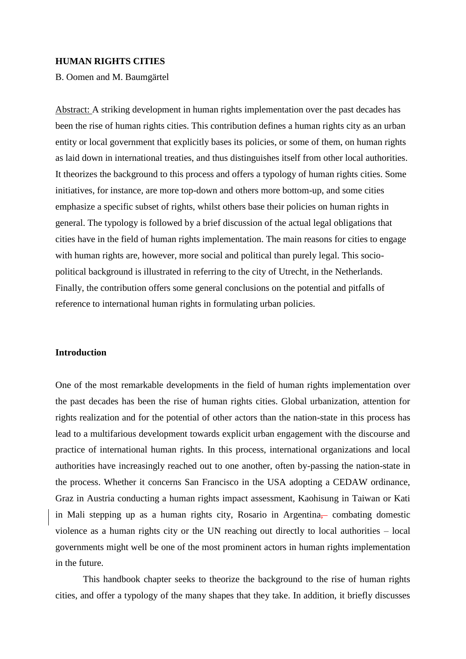## **HUMAN RIGHTS CITIES**

B. Oomen and M. Baumgärtel

Abstract: A striking development in human rights implementation over the past decades has been the rise of human rights cities. This contribution defines a human rights city as an urban entity or local government that explicitly bases its policies, or some of them, on human rights as laid down in international treaties, and thus distinguishes itself from other local authorities. It theorizes the background to this process and offers a typology of human rights cities. Some initiatives, for instance, are more top-down and others more bottom-up, and some cities emphasize a specific subset of rights, whilst others base their policies on human rights in general. The typology is followed by a brief discussion of the actual legal obligations that cities have in the field of human rights implementation. The main reasons for cities to engage with human rights are, however, more social and political than purely legal. This sociopolitical background is illustrated in referring to the city of Utrecht, in the Netherlands. Finally, the contribution offers some general conclusions on the potential and pitfalls of reference to international human rights in formulating urban policies.

# **Introduction**

One of the most remarkable developments in the field of human rights implementation over the past decades has been the rise of human rights cities. Global urbanization, attention for rights realization and for the potential of other actors than the nation-state in this process has lead to a multifarious development towards explicit urban engagement with the discourse and practice of international human rights. In this process, international organizations and local authorities have increasingly reached out to one another, often by-passing the nation-state in the process. Whether it concerns San Francisco in the USA adopting a CEDAW ordinance, Graz in Austria conducting a human rights impact assessment, Kaohisung in Taiwan or Kati in Mali stepping up as a human rights city, Rosario in Argentina, combating domestic violence as a human rights city or the UN reaching out directly to local authorities – local governments might well be one of the most prominent actors in human rights implementation in the future.

This handbook chapter seeks to theorize the background to the rise of human rights cities, and offer a typology of the many shapes that they take. In addition, it briefly discusses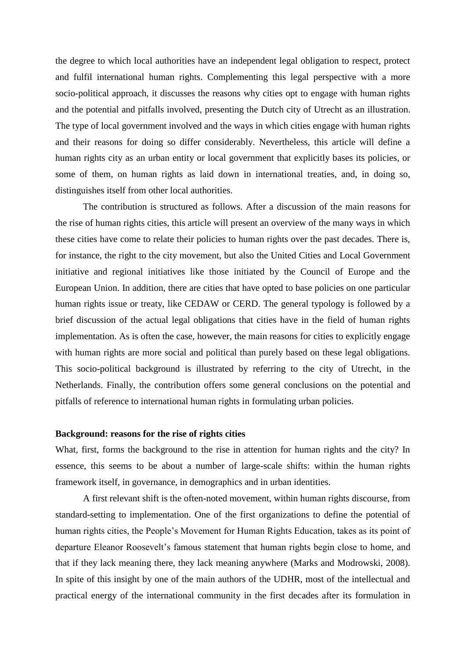the degree to which local authorities have an independent legal obligation to respect, protect and fulfil international human rights. Complementing this legal perspective with a more socio-political approach, it discusses the reasons why cities opt to engage with human rights and the potential and pitfalls involved, presenting the Dutch city of Utrecht as an illustration. The type of local government involved and the ways in which cities engage with human rights and their reasons for doing so differ considerably. Nevertheless, this article will define a human rights city as an urban entity or local government that explicitly bases its policies, or some of them, on human rights as laid down in international treaties, and, in doing so, distinguishes itself from other local authorities.

The contribution is structured as follows. After a discussion of the main reasons for the rise of human rights cities, this article will present an overview of the many ways in which these cities have come to relate their policies to human rights over the past decades. There is, for instance, the right to the city movement, but also the United Cities and Local Government initiative and regional initiatives like those initiated by the Council of Europe and the European Union. In addition, there are cities that have opted to base policies on one particular human rights issue or treaty, like CEDAW or CERD. The general typology is followed by a brief discussion of the actual legal obligations that cities have in the field of human rights implementation. As is often the case, however, the main reasons for cities to explicitly engage with human rights are more social and political than purely based on these legal obligations. This socio-political background is illustrated by referring to the city of Utrecht, in the Netherlands. Finally, the contribution offers some general conclusions on the potential and pitfalls of reference to international human rights in formulating urban policies.

## **Background: reasons for the rise of rights cities**

What, first, forms the background to the rise in attention for human rights and the city? In essence, this seems to be about a number of large-scale shifts: within the human rights framework itself, in governance, in demographics and in urban identities.

A first relevant shift is the often-noted movement, within human rights discourse, from standard-setting to implementation. One of the first organizations to define the potential of human rights cities, the People's Movement for Human Rights Education, takes as its point of departure Eleanor Roosevelt's famous statement that human rights begin close to home, and that if they lack meaning there, they lack meaning anywhere (Marks and Modrowski, 2008). In spite of this insight by one of the main authors of the UDHR, most of the intellectual and practical energy of the international community in the first decades after its formulation in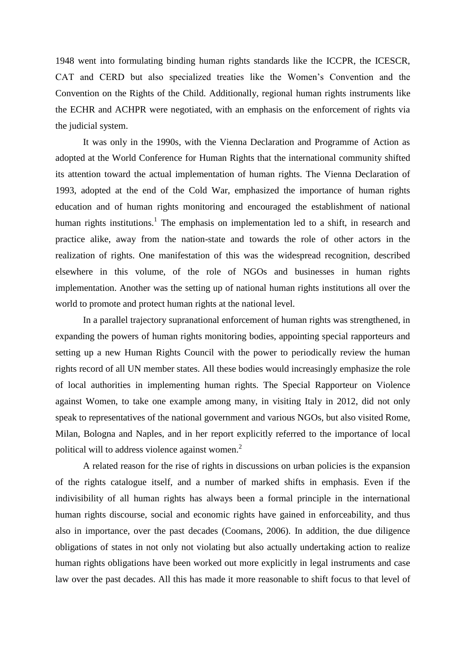1948 went into formulating binding human rights standards like the ICCPR, the ICESCR, CAT and CERD but also specialized treaties like the Women's Convention and the Convention on the Rights of the Child. Additionally, regional human rights instruments like the ECHR and ACHPR were negotiated, with an emphasis on the enforcement of rights via the judicial system.

It was only in the 1990s, with the Vienna Declaration and Programme of Action as adopted at the World Conference for Human Rights that the international community shifted its attention toward the actual implementation of human rights. The Vienna Declaration of 1993, adopted at the end of the Cold War, emphasized the importance of human rights education and of human rights monitoring and encouraged the establishment of national human rights institutions.<sup>1</sup> The emphasis on implementation led to a shift, in research and practice alike, away from the nation-state and towards the role of other actors in the realization of rights. One manifestation of this was the widespread recognition, described elsewhere in this volume, of the role of NGOs and businesses in human rights implementation. Another was the setting up of national human rights institutions all over the world to promote and protect human rights at the national level.

In a parallel trajectory supranational enforcement of human rights was strengthened, in expanding the powers of human rights monitoring bodies, appointing special rapporteurs and setting up a new Human Rights Council with the power to periodically review the human rights record of all UN member states. All these bodies would increasingly emphasize the role of local authorities in implementing human rights. The Special Rapporteur on Violence against Women, to take one example among many, in visiting Italy in 2012, did not only speak to representatives of the national government and various NGOs, but also visited Rome, Milan, Bologna and Naples, and in her report explicitly referred to the importance of local political will to address violence against women.<sup>2</sup>

A related reason for the rise of rights in discussions on urban policies is the expansion of the rights catalogue itself, and a number of marked shifts in emphasis. Even if the indivisibility of all human rights has always been a formal principle in the international human rights discourse, social and economic rights have gained in enforceability, and thus also in importance, over the past decades (Coomans, 2006). In addition, the due diligence obligations of states in not only not violating but also actually undertaking action to realize human rights obligations have been worked out more explicitly in legal instruments and case law over the past decades. All this has made it more reasonable to shift focus to that level of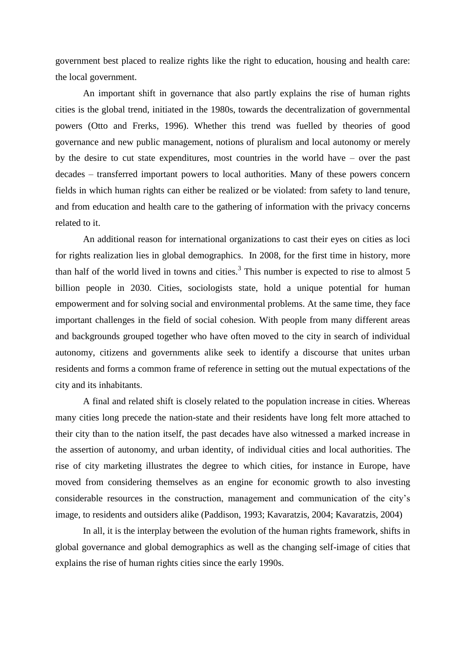government best placed to realize rights like the right to education, housing and health care: the local government.

An important shift in governance that also partly explains the rise of human rights cities is the global trend, initiated in the 1980s, towards the decentralization of governmental powers (Otto and Frerks, 1996). Whether this trend was fuelled by theories of good governance and new public management, notions of pluralism and local autonomy or merely by the desire to cut state expenditures, most countries in the world have – over the past decades – transferred important powers to local authorities. Many of these powers concern fields in which human rights can either be realized or be violated: from safety to land tenure, and from education and health care to the gathering of information with the privacy concerns related to it.

An additional reason for international organizations to cast their eyes on cities as loci for rights realization lies in global demographics. In 2008, for the first time in history, more than half of the world lived in towns and cities.<sup>3</sup> This number is expected to rise to almost 5 billion people in 2030. Cities, sociologists state, hold a unique potential for human empowerment and for solving social and environmental problems. At the same time, they face important challenges in the field of social cohesion. With people from many different areas and backgrounds grouped together who have often moved to the city in search of individual autonomy, citizens and governments alike seek to identify a discourse that unites urban residents and forms a common frame of reference in setting out the mutual expectations of the city and its inhabitants.

A final and related shift is closely related to the population increase in cities. Whereas many cities long precede the nation-state and their residents have long felt more attached to their city than to the nation itself, the past decades have also witnessed a marked increase in the assertion of autonomy, and urban identity, of individual cities and local authorities. The rise of city marketing illustrates the degree to which cities, for instance in Europe, have moved from considering themselves as an engine for economic growth to also investing considerable resources in the construction, management and communication of the city's image, to residents and outsiders alike (Paddison, 1993; Kavaratzis, 2004; Kavaratzis, 2004)

In all, it is the interplay between the evolution of the human rights framework, shifts in global governance and global demographics as well as the changing self-image of cities that explains the rise of human rights cities since the early 1990s.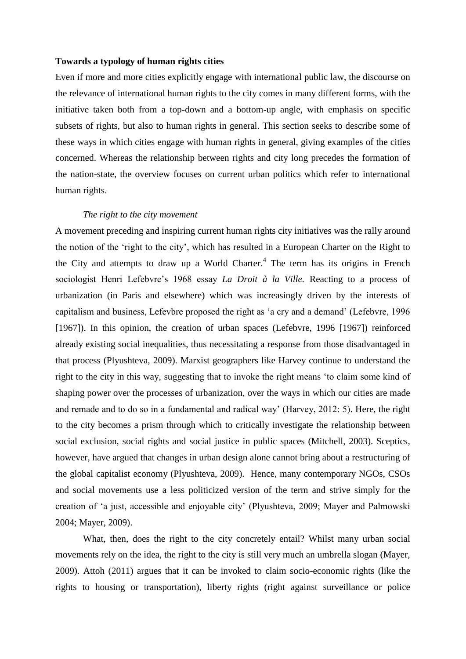# **Towards a typology of human rights cities**

Even if more and more cities explicitly engage with international public law, the discourse on the relevance of international human rights to the city comes in many different forms, with the initiative taken both from a top-down and a bottom-up angle, with emphasis on specific subsets of rights, but also to human rights in general. This section seeks to describe some of these ways in which cities engage with human rights in general, giving examples of the cities concerned. Whereas the relationship between rights and city long precedes the formation of the nation-state, the overview focuses on current urban politics which refer to international human rights.

#### *The right to the city movement*

A movement preceding and inspiring current human rights city initiatives was the rally around the notion of the 'right to the city', which has resulted in a European Charter on the Right to the City and attempts to draw up a World Charter.<sup>4</sup> The term has its origins in French sociologist Henri Lefebvre's 1968 essay *La Droit à la Ville.* Reacting to a process of urbanization (in Paris and elsewhere) which was increasingly driven by the interests of capitalism and business, Lefevbre proposed the right as 'a cry and a demand' (Lefebvre, 1996 [1967]). In this opinion, the creation of urban spaces (Lefebvre, 1996 [1967]) reinforced already existing social inequalities, thus necessitating a response from those disadvantaged in that process (Plyushteva, 2009). Marxist geographers like Harvey continue to understand the right to the city in this way, suggesting that to invoke the right means 'to claim some kind of shaping power over the processes of urbanization, over the ways in which our cities are made and remade and to do so in a fundamental and radical way' (Harvey, 2012: 5). Here, the right to the city becomes a prism through which to critically investigate the relationship between social exclusion, social rights and social justice in public spaces (Mitchell, 2003). Sceptics, however, have argued that changes in urban design alone cannot bring about a restructuring of the global capitalist economy (Plyushteva, 2009). Hence, many contemporary NGOs, CSOs and social movements use a less politicized version of the term and strive simply for the creation of 'a just, accessible and enjoyable city' (Plyushteva, 2009; Mayer and Palmowski 2004; Mayer, 2009).

What, then, does the right to the city concretely entail? Whilst many urban social movements rely on the idea, the right to the city is still very much an umbrella slogan (Mayer, 2009). Attoh (2011) argues that it can be invoked to claim socio-economic rights (like the rights to housing or transportation), liberty rights (right against surveillance or police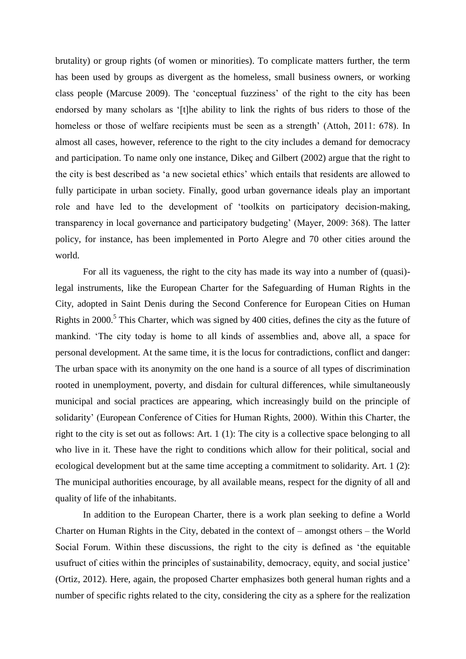brutality) or group rights (of women or minorities). To complicate matters further, the term has been used by groups as divergent as the homeless, small business owners, or working class people (Marcuse 2009). The 'conceptual fuzziness' of the right to the city has been endorsed by many scholars as '[t]he ability to link the rights of bus riders to those of the homeless or those of welfare recipients must be seen as a strength' (Attoh, 2011: 678). In almost all cases, however, reference to the right to the city includes a demand for democracy and participation. To name only one instance, Dikeç and Gilbert (2002) argue that the right to the city is best described as 'a new societal ethics' which entails that residents are allowed to fully participate in urban society. Finally, good urban governance ideals play an important role and have led to the development of 'toolkits on participatory decision-making, transparency in local governance and participatory budgeting' (Mayer, 2009: 368). The latter policy, for instance, has been implemented in Porto Alegre and 70 other cities around the world.

For all its vagueness, the right to the city has made its way into a number of (quasi) legal instruments, like the European Charter for the Safeguarding of Human Rights in the City, adopted in Saint Denis during the Second Conference for European Cities on Human Rights in 2000.<sup>5</sup> This Charter, which was signed by 400 cities, defines the city as the future of mankind. 'The city today is home to all kinds of assemblies and, above all, a space for personal development. At the same time, it is the locus for contradictions, conflict and danger: The urban space with its anonymity on the one hand is a source of all types of discrimination rooted in unemployment, poverty, and disdain for cultural differences, while simultaneously municipal and social practices are appearing, which increasingly build on the principle of solidarity' (European Conference of Cities for Human Rights, 2000). Within this Charter, the right to the city is set out as follows: Art. 1 (1): The city is a collective space belonging to all who live in it. These have the right to conditions which allow for their political, social and ecological development but at the same time accepting a commitment to solidarity. Art. 1 (2): The municipal authorities encourage, by all available means, respect for the dignity of all and quality of life of the inhabitants.

In addition to the European Charter, there is a work plan seeking to define a World Charter on Human Rights in the City, debated in the context of – amongst others – the World Social Forum. Within these discussions, the right to the city is defined as 'the equitable usufruct of cities within the principles of sustainability, democracy, equity, and social justice' (Ortiz, 2012). Here, again, the proposed Charter emphasizes both general human rights and a number of specific rights related to the city, considering the city as a sphere for the realization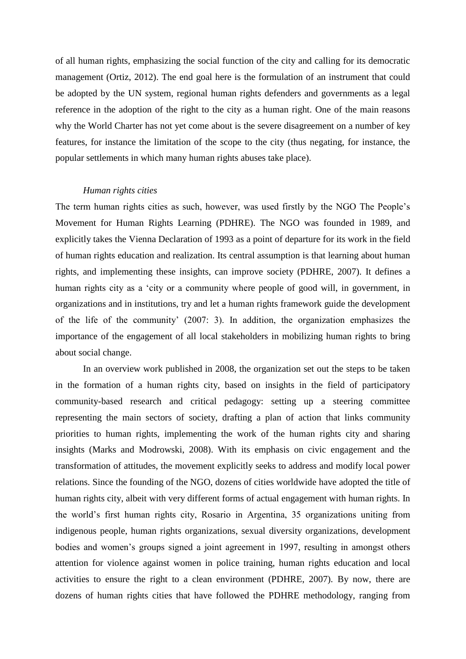of all human rights, emphasizing the social function of the city and calling for its democratic management (Ortiz, 2012). The end goal here is the formulation of an instrument that could be adopted by the UN system, regional human rights defenders and governments as a legal reference in the adoption of the right to the city as a human right. One of the main reasons why the World Charter has not yet come about is the severe disagreement on a number of key features, for instance the limitation of the scope to the city (thus negating, for instance, the popular settlements in which many human rights abuses take place).

#### *Human rights cities*

The term human rights cities as such, however, was used firstly by the NGO The People's Movement for Human Rights Learning (PDHRE). The NGO was founded in 1989, and explicitly takes the Vienna Declaration of 1993 as a point of departure for its work in the field of human rights education and realization. Its central assumption is that learning about human rights, and implementing these insights, can improve society (PDHRE, 2007). It defines a human rights city as a 'city or a community where people of good will, in government, in organizations and in institutions, try and let a human rights framework guide the development of the life of the community' (2007: 3). In addition, the organization emphasizes the importance of the engagement of all local stakeholders in mobilizing human rights to bring about social change.

In an overview work published in 2008, the organization set out the steps to be taken in the formation of a human rights city, based on insights in the field of participatory community-based research and critical pedagogy: setting up a steering committee representing the main sectors of society, drafting a plan of action that links community priorities to human rights, implementing the work of the human rights city and sharing insights (Marks and Modrowski, 2008). With its emphasis on civic engagement and the transformation of attitudes, the movement explicitly seeks to address and modify local power relations. Since the founding of the NGO, dozens of cities worldwide have adopted the title of human rights city, albeit with very different forms of actual engagement with human rights. In the world's first human rights city, Rosario in Argentina, 35 organizations uniting from indigenous people, human rights organizations, sexual diversity organizations, development bodies and women's groups signed a joint agreement in 1997, resulting in amongst others attention for violence against women in police training, human rights education and local activities to ensure the right to a clean environment (PDHRE, 2007). By now, there are dozens of human rights cities that have followed the PDHRE methodology, ranging from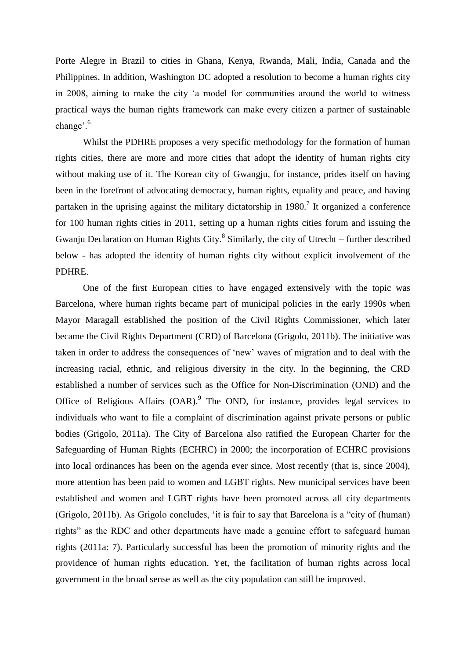Porte Alegre in Brazil to cities in Ghana, Kenya, Rwanda, Mali, India, Canada and the Philippines. In addition, Washington DC adopted a resolution to become a human rights city in 2008, aiming to make the city 'a model for communities around the world to witness practical ways the human rights framework can make every citizen a partner of sustainable change'.<sup>6</sup>

Whilst the PDHRE proposes a very specific methodology for the formation of human rights cities, there are more and more cities that adopt the identity of human rights city without making use of it. The Korean city of Gwangju, for instance, prides itself on having been in the forefront of advocating democracy, human rights, equality and peace, and having partaken in the uprising against the military dictatorship in 1980.<sup>7</sup> It organized a conference for 100 human rights cities in 2011, setting up a human rights cities forum and issuing the Gwanju Declaration on Human Rights City. $^8$  Similarly, the city of Utrecht – further described below - has adopted the identity of human rights city without explicit involvement of the PDHRE.

One of the first European cities to have engaged extensively with the topic was Barcelona, where human rights became part of municipal policies in the early 1990s when Mayor Maragall established the position of the Civil Rights Commissioner, which later became the Civil Rights Department (CRD) of Barcelona (Grigolo, 2011b). The initiative was taken in order to address the consequences of 'new' waves of migration and to deal with the increasing racial, ethnic, and religious diversity in the city. In the beginning, the CRD established a number of services such as the Office for Non-Discrimination (OND) and the Office of Religious Affairs  $(OAR)$ . The OND, for instance, provides legal services to individuals who want to file a complaint of discrimination against private persons or public bodies (Grigolo, 2011a). The City of Barcelona also ratified the European Charter for the Safeguarding of Human Rights (ECHRC) in 2000; the incorporation of ECHRC provisions into local ordinances has been on the agenda ever since. Most recently (that is, since 2004), more attention has been paid to women and LGBT rights. New municipal services have been established and women and LGBT rights have been promoted across all city departments (Grigolo, 2011b). As Grigolo concludes, 'it is fair to say that Barcelona is a "city of (human) rights" as the RDC and other departments have made a genuine effort to safeguard human rights (2011a: 7). Particularly successful has been the promotion of minority rights and the providence of human rights education. Yet, the facilitation of human rights across local government in the broad sense as well as the city population can still be improved.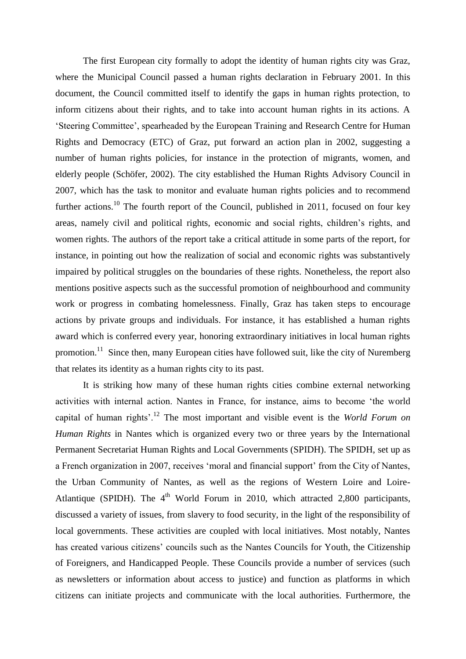The first European city formally to adopt the identity of human rights city was Graz, where the Municipal Council passed a human rights declaration in February 2001. In this document, the Council committed itself to identify the gaps in human rights protection, to inform citizens about their rights, and to take into account human rights in its actions. A 'Steering Committee', spearheaded by the European Training and Research Centre for Human Rights and Democracy (ETC) of Graz, put forward an action plan in 2002, suggesting a number of human rights policies, for instance in the protection of migrants, women, and elderly people (Schöfer, 2002). The city established the Human Rights Advisory Council in 2007, which has the task to monitor and evaluate human rights policies and to recommend further actions.<sup>10</sup> The fourth report of the Council, published in 2011, focused on four key areas, namely civil and political rights, economic and social rights, children's rights, and women rights. The authors of the report take a critical attitude in some parts of the report, for instance, in pointing out how the realization of social and economic rights was substantively impaired by political struggles on the boundaries of these rights. Nonetheless, the report also mentions positive aspects such as the successful promotion of neighbourhood and community work or progress in combating homelessness. Finally, Graz has taken steps to encourage actions by private groups and individuals. For instance, it has established a human rights award which is conferred every year, honoring extraordinary initiatives in local human rights promotion.<sup>11</sup> Since then, many European cities have followed suit, like the city of Nuremberg that relates its identity as a human rights city to its past.

It is striking how many of these human rights cities combine external networking activities with internal action. Nantes in France, for instance, aims to become 'the world capital of human rights'.<sup>12</sup> The most important and visible event is the *World Forum on Human Rights* in Nantes which is organized every two or three years by the International Permanent Secretariat Human Rights and Local Governments (SPIDH). The SPIDH, set up as a French organization in 2007, receives 'moral and financial support' from the City of Nantes, the Urban Community of Nantes, as well as the regions of Western Loire and Loire-Atlantique (SPIDH). The  $4<sup>th</sup>$  World Forum in 2010, which attracted 2,800 participants, discussed a variety of issues, from slavery to food security, in the light of the responsibility of local governments. These activities are coupled with local initiatives. Most notably, Nantes has created various citizens' councils such as the Nantes Councils for Youth, the Citizenship of Foreigners, and Handicapped People. These Councils provide a number of services (such as newsletters or information about access to justice) and function as platforms in which citizens can initiate projects and communicate with the local authorities. Furthermore, the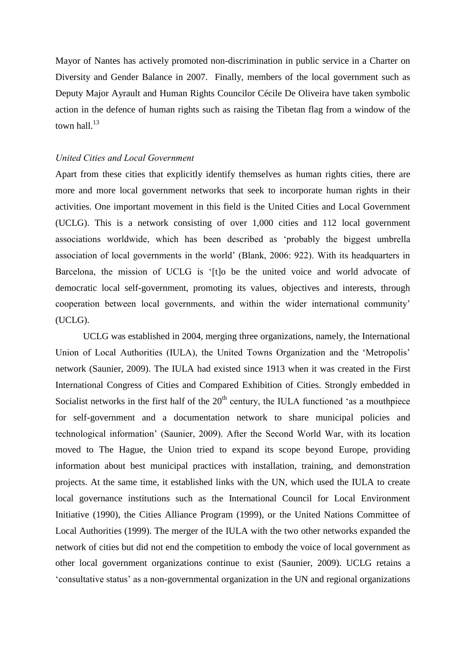Mayor of Nantes has actively promoted non-discrimination in public service in a Charter on Diversity and Gender Balance in 2007. Finally, members of the local government such as Deputy Major Ayrault and Human Rights Councilor Cécile De Oliveira have taken symbolic action in the defence of human rights such as raising the Tibetan flag from a window of the town hall  $^{13}$ 

### *United Cities and Local Government*

Apart from these cities that explicitly identify themselves as human rights cities, there are more and more local government networks that seek to incorporate human rights in their activities. One important movement in this field is the United Cities and Local Government (UCLG). This is a network consisting of over 1,000 cities and 112 local government associations worldwide, which has been described as 'probably the biggest umbrella association of local governments in the world' (Blank, 2006: 922). With its headquarters in Barcelona, the mission of UCLG is '[t]o be the united voice and world advocate of democratic local self-government, promoting its values, objectives and interests, through cooperation between local governments, and within the wider international community' (UCLG).

UCLG was established in 2004, merging three organizations, namely, the International Union of Local Authorities (IULA), the United Towns Organization and the 'Metropolis' network (Saunier, 2009). The IULA had existed since 1913 when it was created in the First International Congress of Cities and Compared Exhibition of Cities. Strongly embedded in Socialist networks in the first half of the  $20<sup>th</sup>$  century, the IULA functioned 'as a mouthpiece for self-government and a documentation network to share municipal policies and technological information' (Saunier, 2009). After the Second World War, with its location moved to The Hague, the Union tried to expand its scope beyond Europe, providing information about best municipal practices with installation, training, and demonstration projects. At the same time, it established links with the UN, which used the IULA to create local governance institutions such as the International Council for Local Environment Initiative (1990), the Cities Alliance Program (1999), or the United Nations Committee of Local Authorities (1999). The merger of the IULA with the two other networks expanded the network of cities but did not end the competition to embody the voice of local government as other local government organizations continue to exist (Saunier, 2009). UCLG retains a 'consultative status' as a non-governmental organization in the UN and regional organizations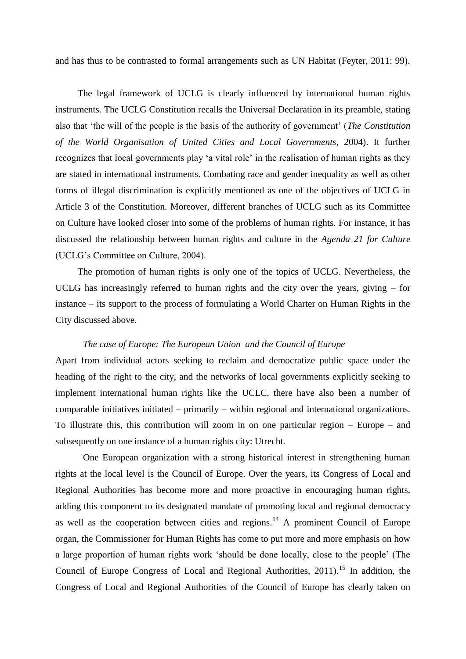and has thus to be contrasted to formal arrangements such as UN Habitat (Feyter, 2011: 99).

The legal framework of UCLG is clearly influenced by international human rights instruments. The UCLG Constitution recalls the Universal Declaration in its preamble, stating also that 'the will of the people is the basis of the authority of government' (*The Constitution of the World Organisation of United Cities and Local Governments*, 2004). It further recognizes that local governments play 'a vital role' in the realisation of human rights as they are stated in international instruments. Combating race and gender inequality as well as other forms of illegal discrimination is explicitly mentioned as one of the objectives of UCLG in Article 3 of the Constitution. Moreover, different branches of UCLG such as its Committee on Culture have looked closer into some of the problems of human rights. For instance, it has discussed the relationship between human rights and culture in the *Agenda 21 for Culture*  (UCLG's Committee on Culture, 2004).

The promotion of human rights is only one of the topics of UCLG. Nevertheless, the UCLG has increasingly referred to human rights and the city over the years, giving – for instance – its support to the process of formulating a World Charter on Human Rights in the City discussed above.

## *The case of Europe: The European Union and the Council of Europe*

Apart from individual actors seeking to reclaim and democratize public space under the heading of the right to the city, and the networks of local governments explicitly seeking to implement international human rights like the UCLC, there have also been a number of comparable initiatives initiated – primarily – within regional and international organizations. To illustrate this, this contribution will zoom in on one particular region – Europe – and subsequently on one instance of a human rights city: Utrecht.

One European organization with a strong historical interest in strengthening human rights at the local level is the Council of Europe. Over the years, its Congress of Local and Regional Authorities has become more and more proactive in encouraging human rights, adding this component to its designated mandate of promoting local and regional democracy as well as the cooperation between cities and regions.<sup>14</sup> A prominent Council of Europe organ, the Commissioner for Human Rights has come to put more and more emphasis on how a large proportion of human rights work 'should be done locally, close to the people' (The Council of Europe Congress of Local and Regional Authorities,  $2011$ ).<sup>15</sup> In addition, the Congress of Local and Regional Authorities of the Council of Europe has clearly taken on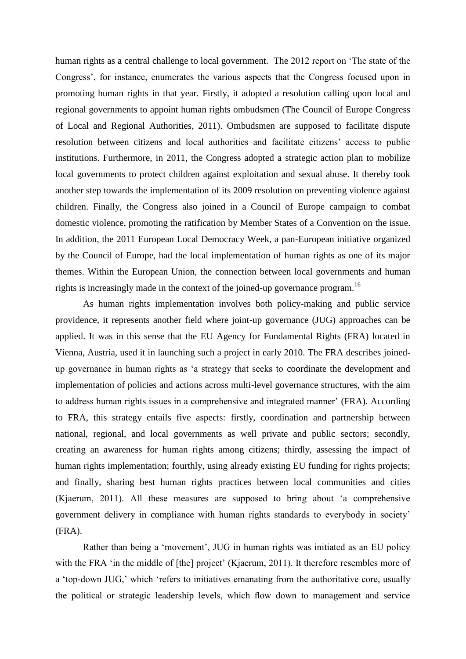human rights as a central challenge to local government. The 2012 report on 'The state of the Congress', for instance, enumerates the various aspects that the Congress focused upon in promoting human rights in that year. Firstly, it adopted a resolution calling upon local and regional governments to appoint human rights ombudsmen (The Council of Europe Congress of Local and Regional Authorities, 2011). Ombudsmen are supposed to facilitate dispute resolution between citizens and local authorities and facilitate citizens' access to public institutions. Furthermore, in 2011, the Congress adopted a strategic action plan to mobilize local governments to protect children against exploitation and sexual abuse. It thereby took another step towards the implementation of its 2009 resolution on preventing violence against children. Finally, the Congress also joined in a Council of Europe campaign to combat domestic violence, promoting the ratification by Member States of a Convention on the issue. In addition, the 2011 European Local Democracy Week, a pan-European initiative organized by the Council of Europe, had the local implementation of human rights as one of its major themes. Within the European Union, the connection between local governments and human rights is increasingly made in the context of the joined-up governance program.<sup>16</sup>

As human rights implementation involves both policy-making and public service providence, it represents another field where joint-up governance (JUG) approaches can be applied. It was in this sense that the EU Agency for Fundamental Rights (FRA) located in Vienna, Austria, used it in launching such a project in early 2010. The FRA describes joinedup governance in human rights as 'a strategy that seeks to coordinate the development and implementation of policies and actions across multi-level governance structures, with the aim to address human rights issues in a comprehensive and integrated manner' (FRA). According to FRA, this strategy entails five aspects: firstly, coordination and partnership between national, regional, and local governments as well private and public sectors; secondly, creating an awareness for human rights among citizens; thirdly, assessing the impact of human rights implementation; fourthly, using already existing EU funding for rights projects; and finally, sharing best human rights practices between local communities and cities (Kjaerum, 2011). All these measures are supposed to bring about 'a comprehensive government delivery in compliance with human rights standards to everybody in society' (FRA).

Rather than being a 'movement', JUG in human rights was initiated as an EU policy with the FRA 'in the middle of [the] project' (Kjaerum, 2011). It therefore resembles more of a 'top-down JUG,' which 'refers to initiatives emanating from the authoritative core, usually the political or strategic leadership levels, which flow down to management and service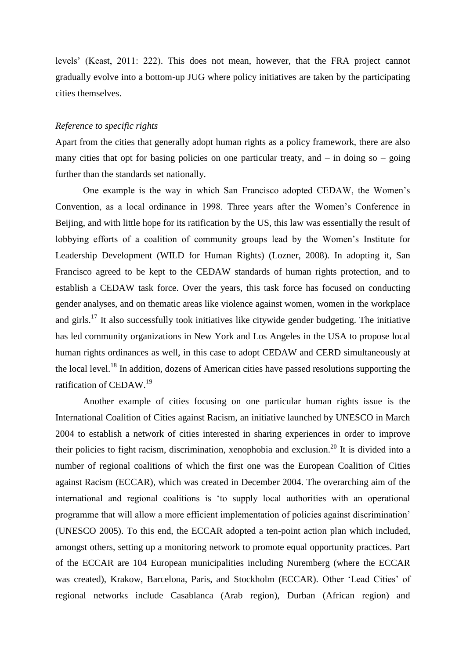levels' (Keast, 2011: 222). This does not mean, however, that the FRA project cannot gradually evolve into a bottom-up JUG where policy initiatives are taken by the participating cities themselves.

# *Reference to specific rights*

Apart from the cities that generally adopt human rights as a policy framework, there are also many cities that opt for basing policies on one particular treaty, and  $-$  in doing so  $-$  going further than the standards set nationally.

One example is the way in which San Francisco adopted CEDAW, the Women's Convention, as a local ordinance in 1998. Three years after the Women's Conference in Beijing, and with little hope for its ratification by the US, this law was essentially the result of lobbying efforts of a coalition of community groups lead by the Women's Institute for Leadership Development (WILD for Human Rights) (Lozner, 2008). In adopting it, San Francisco agreed to be kept to the CEDAW standards of human rights protection, and to establish a CEDAW task force. Over the years, this task force has focused on conducting gender analyses, and on thematic areas like violence against women, women in the workplace and girls.<sup>17</sup> It also successfully took initiatives like citywide gender budgeting. The initiative has led community organizations in New York and Los Angeles in the USA to propose local human rights ordinances as well, in this case to adopt CEDAW and CERD simultaneously at the local level.<sup>18</sup> In addition, dozens of American cities have passed resolutions supporting the ratification of CEDAW.<sup>19</sup>

Another example of cities focusing on one particular human rights issue is the International Coalition of Cities against Racism, an initiative launched by UNESCO in March 2004 to establish a network of cities interested in sharing experiences in order to improve their policies to fight racism, discrimination, xenophobia and exclusion.<sup>20</sup> It is divided into a number of regional coalitions of which the first one was the European Coalition of Cities against Racism (ECCAR), which was created in December 2004. The overarching aim of the international and regional coalitions is 'to supply local authorities with an operational programme that will allow a more efficient implementation of policies against discrimination' (UNESCO 2005). To this end, the ECCAR adopted a ten-point action plan which included, amongst others, setting up a monitoring network to promote equal opportunity practices. Part of the ECCAR are 104 European municipalities including Nuremberg (where the ECCAR was created), Krakow, Barcelona, Paris, and Stockholm (ECCAR). Other 'Lead Cities' of regional networks include Casablanca (Arab region), Durban (African region) and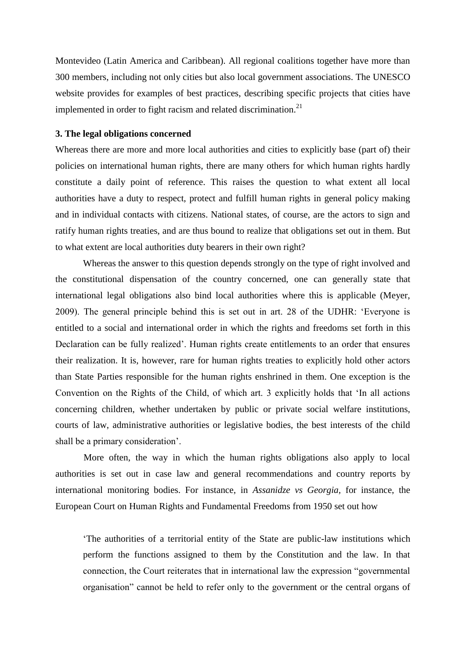Montevideo (Latin America and Caribbean). All regional coalitions together have more than 300 members, including not only cities but also local government associations. The UNESCO website provides for examples of best practices, describing specific projects that cities have implemented in order to fight racism and related discrimination.<sup>21</sup>

#### **3. The legal obligations concerned**

Whereas there are more and more local authorities and cities to explicitly base (part of) their policies on international human rights, there are many others for which human rights hardly constitute a daily point of reference. This raises the question to what extent all local authorities have a duty to respect, protect and fulfill human rights in general policy making and in individual contacts with citizens. National states, of course, are the actors to sign and ratify human rights treaties, and are thus bound to realize that obligations set out in them. But to what extent are local authorities duty bearers in their own right?

Whereas the answer to this question depends strongly on the type of right involved and the constitutional dispensation of the country concerned, one can generally state that international legal obligations also bind local authorities where this is applicable (Meyer, 2009). The general principle behind this is set out in art. 28 of the UDHR: 'Everyone is entitled to a social and international order in which the rights and freedoms set forth in this Declaration can be fully realized'. Human rights create entitlements to an order that ensures their realization. It is, however, rare for human rights treaties to explicitly hold other actors than State Parties responsible for the human rights enshrined in them. One exception is the Convention on the Rights of the Child, of which art. 3 explicitly holds that 'In all actions concerning children, whether undertaken by public or private social welfare institutions, courts of law, administrative authorities or legislative bodies, the best interests of the child shall be a primary consideration'.

More often, the way in which the human rights obligations also apply to local authorities is set out in case law and general recommendations and country reports by international monitoring bodies. For instance, in *Assanidze vs Georgia,* for instance, the European Court on Human Rights and Fundamental Freedoms from 1950 set out how

'The authorities of a territorial entity of the State are public-law institutions which perform the functions assigned to them by the Constitution and the law. In that connection, the Court reiterates that in international law the expression "governmental organisation" cannot be held to refer only to the government or the central organs of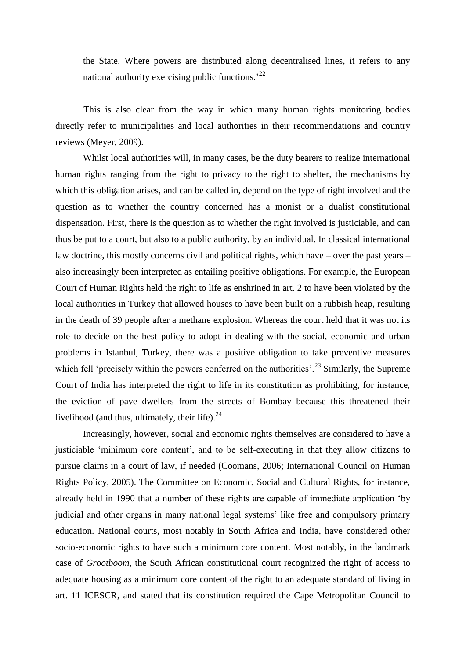the State. Where powers are distributed along decentralised lines, it refers to any national authority exercising public functions.<sup>22</sup>

This is also clear from the way in which many human rights monitoring bodies directly refer to municipalities and local authorities in their recommendations and country reviews (Meyer, 2009).

Whilst local authorities will, in many cases, be the duty bearers to realize international human rights ranging from the right to privacy to the right to shelter, the mechanisms by which this obligation arises, and can be called in, depend on the type of right involved and the question as to whether the country concerned has a monist or a dualist constitutional dispensation. First, there is the question as to whether the right involved is justiciable, and can thus be put to a court, but also to a public authority, by an individual. In classical international law doctrine, this mostly concerns civil and political rights, which have – over the past years – also increasingly been interpreted as entailing positive obligations. For example, the European Court of Human Rights held the right to life as enshrined in art. 2 to have been violated by the local authorities in Turkey that allowed houses to have been built on a rubbish heap, resulting in the death of 39 people after a methane explosion. Whereas the court held that it was not its role to decide on the best policy to adopt in dealing with the social, economic and urban problems in Istanbul, Turkey, there was a positive obligation to take preventive measures which fell 'precisely within the powers conferred on the authorities'.<sup>23</sup> Similarly, the Supreme Court of India has interpreted the right to life in its constitution as prohibiting, for instance, the eviction of pave dwellers from the streets of Bombay because this threatened their livelihood (and thus, ultimately, their life). $24$ 

Increasingly, however, social and economic rights themselves are considered to have a justiciable 'minimum core content', and to be self-executing in that they allow citizens to pursue claims in a court of law, if needed (Coomans, 2006; International Council on Human Rights Policy, 2005). The Committee on Economic, Social and Cultural Rights, for instance, already held in 1990 that a number of these rights are capable of immediate application 'by judicial and other organs in many national legal systems' like free and compulsory primary education. National courts, most notably in South Africa and India, have considered other socio-economic rights to have such a minimum core content. Most notably, in the landmark case of *Grootboom*, the South African constitutional court recognized the right of access to adequate housing as a minimum core content of the right to an adequate standard of living in art. 11 ICESCR, and stated that its constitution required the Cape Metropolitan Council to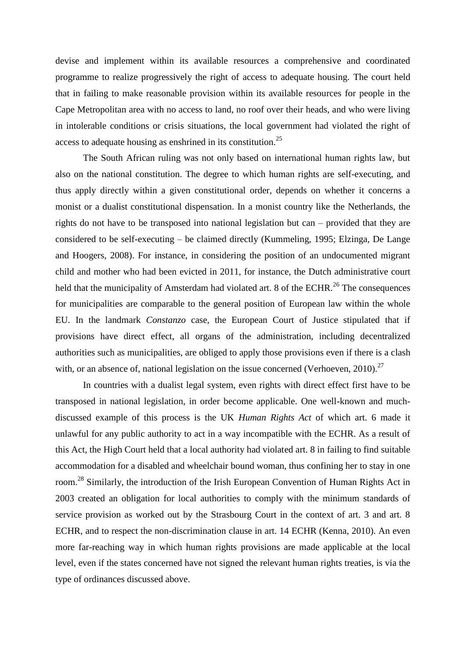devise and implement within its available resources a comprehensive and coordinated programme to realize progressively the right of access to adequate housing. The court held that in failing to make reasonable provision within its available resources for people in the Cape Metropolitan area with no access to land, no roof over their heads, and who were living in intolerable conditions or crisis situations, the local government had violated the right of access to adequate housing as enshrined in its constitution.<sup>25</sup>

The South African ruling was not only based on international human rights law, but also on the national constitution. The degree to which human rights are self-executing, and thus apply directly within a given constitutional order, depends on whether it concerns a monist or a dualist constitutional dispensation. In a monist country like the Netherlands, the rights do not have to be transposed into national legislation but can – provided that they are considered to be self-executing – be claimed directly (Kummeling, 1995; Elzinga, De Lange and Hoogers, 2008). For instance, in considering the position of an undocumented migrant child and mother who had been evicted in 2011, for instance, the Dutch administrative court held that the municipality of Amsterdam had violated art. 8 of the ECHR.<sup>26</sup> The consequences for municipalities are comparable to the general position of European law within the whole EU. In the landmark *Constanzo* case, the European Court of Justice stipulated that if provisions have direct effect, all organs of the administration, including decentralized authorities such as municipalities, are obliged to apply those provisions even if there is a clash with, or an absence of, national legislation on the issue concerned (Verhoeven, 2010).<sup>27</sup>

In countries with a dualist legal system, even rights with direct effect first have to be transposed in national legislation, in order become applicable. One well-known and muchdiscussed example of this process is the UK *Human Rights Act* of which art. 6 made it unlawful for any public authority to act in a way incompatible with the ECHR. As a result of this Act, the High Court held that a local authority had violated art. 8 in failing to find suitable accommodation for a disabled and wheelchair bound woman, thus confining her to stay in one room.<sup>28</sup> Similarly, the introduction of the Irish European Convention of Human Rights Act in 2003 created an obligation for local authorities to comply with the minimum standards of service provision as worked out by the Strasbourg Court in the context of art. 3 and art. 8 ECHR, and to respect the non-discrimination clause in art. 14 ECHR (Kenna, 2010). An even more far-reaching way in which human rights provisions are made applicable at the local level, even if the states concerned have not signed the relevant human rights treaties, is via the type of ordinances discussed above.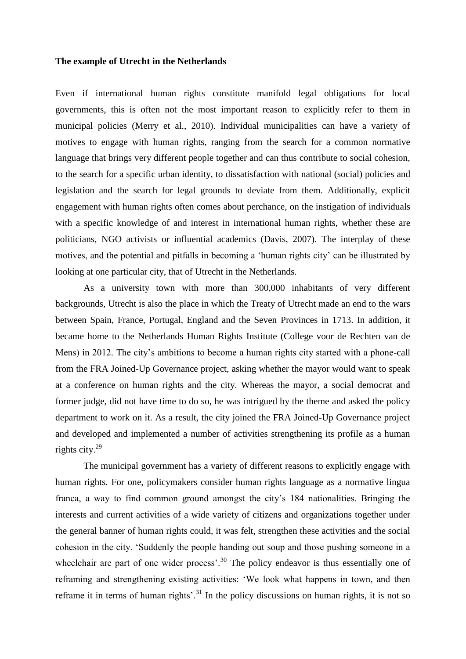#### **The example of Utrecht in the Netherlands**

Even if international human rights constitute manifold legal obligations for local governments, this is often not the most important reason to explicitly refer to them in municipal policies (Merry et al., 2010). Individual municipalities can have a variety of motives to engage with human rights, ranging from the search for a common normative language that brings very different people together and can thus contribute to social cohesion, to the search for a specific urban identity, to dissatisfaction with national (social) policies and legislation and the search for legal grounds to deviate from them. Additionally, explicit engagement with human rights often comes about perchance, on the instigation of individuals with a specific knowledge of and interest in international human rights, whether these are politicians, NGO activists or influential academics (Davis, 2007). The interplay of these motives, and the potential and pitfalls in becoming a 'human rights city' can be illustrated by looking at one particular city, that of Utrecht in the Netherlands.

As a university town with more than 300,000 inhabitants of very different backgrounds, Utrecht is also the place in which the Treaty of Utrecht made an end to the wars between Spain, France, Portugal, England and the Seven Provinces in 1713. In addition, it became home to the Netherlands Human Rights Institute (College voor de Rechten van de Mens) in 2012. The city's ambitions to become a human rights city started with a phone-call from the FRA Joined-Up Governance project, asking whether the mayor would want to speak at a conference on human rights and the city. Whereas the mayor, a social democrat and former judge, did not have time to do so, he was intrigued by the theme and asked the policy department to work on it. As a result, the city joined the FRA Joined-Up Governance project and developed and implemented a number of activities strengthening its profile as a human rights city.<sup>29</sup>

The municipal government has a variety of different reasons to explicitly engage with human rights. For one, policymakers consider human rights language as a normative lingua franca, a way to find common ground amongst the city's 184 nationalities. Bringing the interests and current activities of a wide variety of citizens and organizations together under the general banner of human rights could, it was felt, strengthen these activities and the social cohesion in the city. 'Suddenly the people handing out soup and those pushing someone in a wheelchair are part of one wider process'.<sup>30</sup> The policy endeavor is thus essentially one of reframing and strengthening existing activities: 'We look what happens in town, and then reframe it in terms of human rights'.<sup>31</sup> In the policy discussions on human rights, it is not so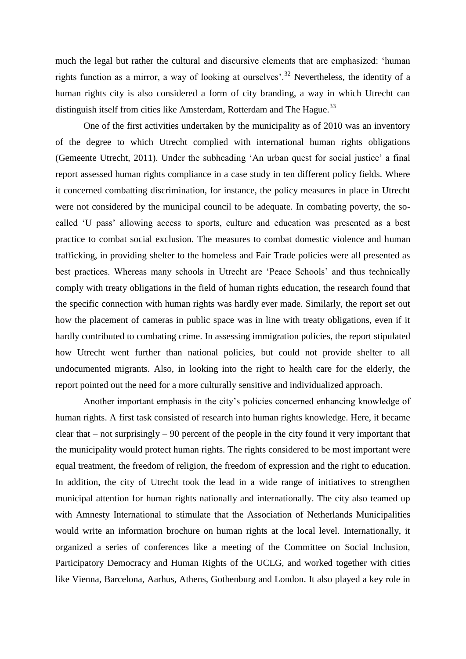much the legal but rather the cultural and discursive elements that are emphasized: 'human rights function as a mirror, a way of looking at ourselves'.<sup>32</sup> Nevertheless, the identity of a human rights city is also considered a form of city branding, a way in which Utrecht can distinguish itself from cities like Amsterdam, Rotterdam and The Hague.<sup>33</sup>

One of the first activities undertaken by the municipality as of 2010 was an inventory of the degree to which Utrecht complied with international human rights obligations (Gemeente Utrecht, 2011). Under the subheading 'An urban quest for social justice' a final report assessed human rights compliance in a case study in ten different policy fields. Where it concerned combatting discrimination, for instance, the policy measures in place in Utrecht were not considered by the municipal council to be adequate. In combating poverty, the socalled 'U pass' allowing access to sports, culture and education was presented as a best practice to combat social exclusion. The measures to combat domestic violence and human trafficking, in providing shelter to the homeless and Fair Trade policies were all presented as best practices. Whereas many schools in Utrecht are 'Peace Schools' and thus technically comply with treaty obligations in the field of human rights education, the research found that the specific connection with human rights was hardly ever made. Similarly, the report set out how the placement of cameras in public space was in line with treaty obligations, even if it hardly contributed to combating crime. In assessing immigration policies, the report stipulated how Utrecht went further than national policies, but could not provide shelter to all undocumented migrants. Also, in looking into the right to health care for the elderly, the report pointed out the need for a more culturally sensitive and individualized approach.

Another important emphasis in the city's policies concerned enhancing knowledge of human rights. A first task consisted of research into human rights knowledge. Here, it became clear that – not surprisingly – 90 percent of the people in the city found it very important that the municipality would protect human rights. The rights considered to be most important were equal treatment, the freedom of religion, the freedom of expression and the right to education. In addition, the city of Utrecht took the lead in a wide range of initiatives to strengthen municipal attention for human rights nationally and internationally. The city also teamed up with Amnesty International to stimulate that the Association of Netherlands Municipalities would write an information brochure on human rights at the local level. Internationally, it organized a series of conferences like a meeting of the Committee on Social Inclusion, Participatory Democracy and Human Rights of the UCLG, and worked together with cities like Vienna, Barcelona, Aarhus, Athens, Gothenburg and London. It also played a key role in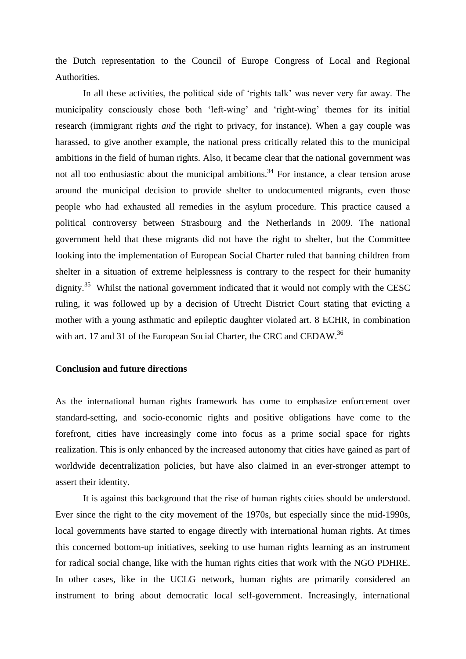the Dutch representation to the Council of Europe Congress of Local and Regional Authorities.

In all these activities, the political side of 'rights talk' was never very far away. The municipality consciously chose both 'left-wing' and 'right-wing' themes for its initial research (immigrant rights *and* the right to privacy, for instance). When a gay couple was harassed, to give another example, the national press critically related this to the municipal ambitions in the field of human rights. Also, it became clear that the national government was not all too enthusiastic about the municipal ambitions.<sup>34</sup> For instance, a clear tension arose around the municipal decision to provide shelter to undocumented migrants, even those people who had exhausted all remedies in the asylum procedure. This practice caused a political controversy between Strasbourg and the Netherlands in 2009. The national government held that these migrants did not have the right to shelter, but the Committee looking into the implementation of European Social Charter ruled that banning children from shelter in a situation of extreme helplessness is contrary to the respect for their humanity dignity.<sup>35</sup> Whilst the national government indicated that it would not comply with the CESC ruling, it was followed up by a decision of Utrecht District Court stating that evicting a mother with a young asthmatic and epileptic daughter violated art. 8 ECHR, in combination with art. 17 and 31 of the European Social Charter, the CRC and CEDAW.<sup>36</sup>

# **Conclusion and future directions**

As the international human rights framework has come to emphasize enforcement over standard-setting, and socio-economic rights and positive obligations have come to the forefront, cities have increasingly come into focus as a prime social space for rights realization. This is only enhanced by the increased autonomy that cities have gained as part of worldwide decentralization policies, but have also claimed in an ever-stronger attempt to assert their identity.

It is against this background that the rise of human rights cities should be understood. Ever since the right to the city movement of the 1970s, but especially since the mid-1990s, local governments have started to engage directly with international human rights. At times this concerned bottom-up initiatives, seeking to use human rights learning as an instrument for radical social change, like with the human rights cities that work with the NGO PDHRE. In other cases, like in the UCLG network, human rights are primarily considered an instrument to bring about democratic local self-government. Increasingly, international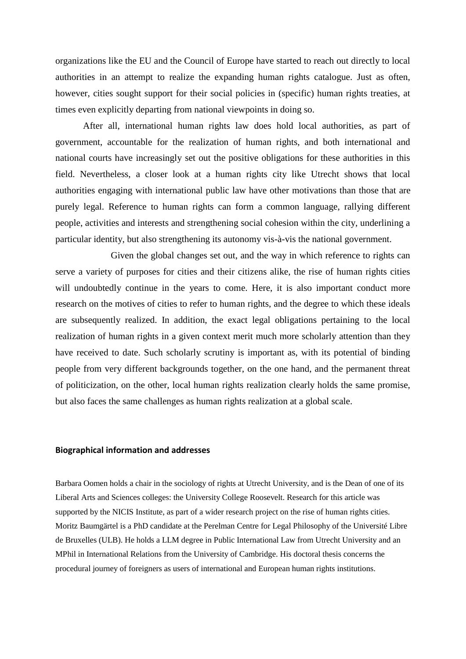organizations like the EU and the Council of Europe have started to reach out directly to local authorities in an attempt to realize the expanding human rights catalogue. Just as often, however, cities sought support for their social policies in (specific) human rights treaties, at times even explicitly departing from national viewpoints in doing so.

After all, international human rights law does hold local authorities, as part of government, accountable for the realization of human rights, and both international and national courts have increasingly set out the positive obligations for these authorities in this field. Nevertheless, a closer look at a human rights city like Utrecht shows that local authorities engaging with international public law have other motivations than those that are purely legal. Reference to human rights can form a common language, rallying different people, activities and interests and strengthening social cohesion within the city, underlining a particular identity, but also strengthening its autonomy vis-à-vis the national government.

Given the global changes set out, and the way in which reference to rights can serve a variety of purposes for cities and their citizens alike, the rise of human rights cities will undoubtedly continue in the years to come. Here, it is also important conduct more research on the motives of cities to refer to human rights, and the degree to which these ideals are subsequently realized. In addition, the exact legal obligations pertaining to the local realization of human rights in a given context merit much more scholarly attention than they have received to date. Such scholarly scrutiny is important as, with its potential of binding people from very different backgrounds together, on the one hand, and the permanent threat of politicization, on the other, local human rights realization clearly holds the same promise, but also faces the same challenges as human rights realization at a global scale.

## **Biographical information and addresses**

Barbara Oomen holds a chair in the sociology of rights at Utrecht University, and is the Dean of one of its Liberal Arts and Sciences colleges: the University College Roosevelt. Research for this article was supported by the NICIS Institute, as part of a wider research project on the rise of human rights cities. Moritz Baumgärtel is a PhD candidate at the Perelman Centre for Legal Philosophy of the Université Libre de Bruxelles (ULB). He holds a LLM degree in Public International Law from Utrecht University and an MPhil in International Relations from the University of Cambridge. His doctoral thesis concerns the procedural journey of foreigners as users of international and European human rights institutions.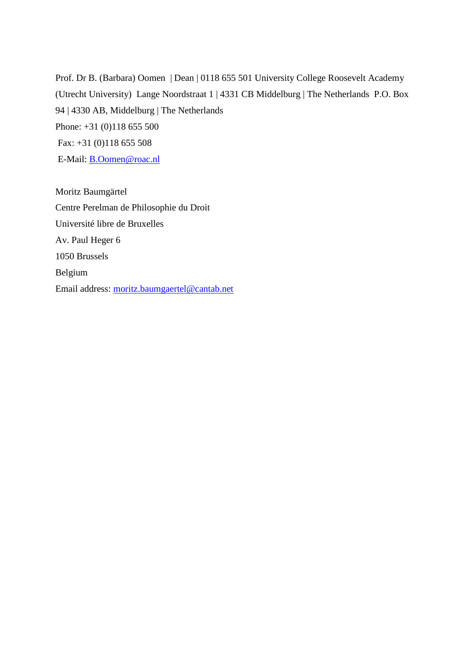Prof. Dr B. (Barbara) Oomen | Dean | 0118 655 501 University College Roosevelt Academy (Utrecht University) Lange Noordstraat 1 | 4331 CB Middelburg | The Netherlands P.O. Box 94 | 4330 AB, Middelburg | The Netherlands Phone: +31 (0)118 655 500 Fax: +31 (0)118 655 508 E-Mail: [B.Oomen@roac.nl](mailto:B.Oomen@roac.nl)

Moritz Baumgärtel Centre Perelman de Philosophie du Droit Université libre de Bruxelles Av. Paul Heger 6 1050 Brussels Belgium Email address: [moritz.baumgaertel@cantab.net](mailto:moritz.baumgaertel@cantab.net)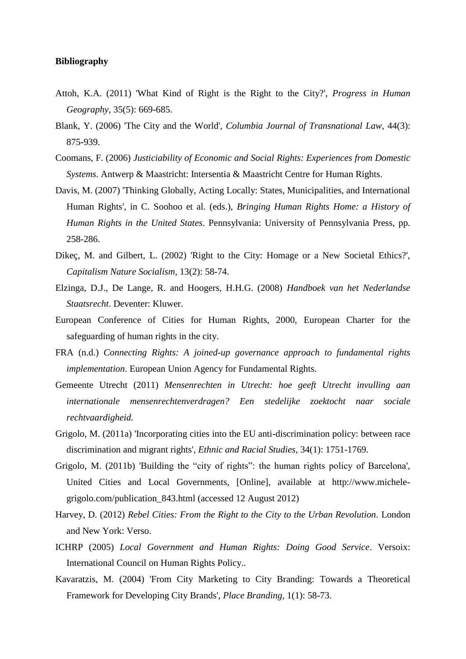# **Bibliography**

- Attoh, K.A. (2011) 'What Kind of Right is the Right to the City?', *Progress in Human Geography*, 35(5): 669-685.
- Blank, Y. (2006) 'The City and the World', *Columbia Journal of Transnational Law*, 44(3): 875-939.
- Coomans, F. (2006) *Justiciability of Economic and Social Rights: Experiences from Domestic Systems*. Antwerp & Maastricht: Intersentia & Maastricht Centre for Human Rights.
- Davis, M. (2007) 'Thinking Globally, Acting Locally: States, Municipalities, and International Human Rights', in C. Soohoo et al. (eds.), *Bringing Human Rights Home: a History of Human Rights in the United States*. Pennsylvania: University of Pennsylvania Press, pp. 258-286.
- Dikeç, M. and Gilbert, L. (2002) 'Right to the City: Homage or a New Societal Ethics?', *Capitalism Nature Socialism*, 13(2): 58-74.
- Elzinga, D.J., De Lange, R. and Hoogers, H.H.G. (2008) *Handboek van het Nederlandse Staatsrecht*. Deventer: Kluwer.
- European Conference of Cities for Human Rights, 2000, European Charter for the safeguarding of human rights in the city.
- FRA (n.d.) *Connecting Rights: A joined-up governance approach to fundamental rights implementation*. European Union Agency for Fundamental Rights.
- Gemeente Utrecht (2011) *Mensenrechten in Utrecht: hoe geeft Utrecht invulling aan internationale mensenrechtenverdragen? Een stedelijke zoektocht naar sociale rechtvaardigheid.*
- Grigolo, M. (2011a) 'Incorporating cities into the EU anti-discrimination policy: between race discrimination and migrant rights', *Ethnic and Racial Studies*, 34(1): 1751-1769.
- Grigolo, M. (2011b) 'Building the "city of rights": the human rights policy of Barcelona', United Cities and Local Governments, [Online], available at http://www.michelegrigolo.com/publication\_843.html (accessed 12 August 2012)
- Harvey, D. (2012) *Rebel Cities: From the Right to the City to the Urban Revolution*. London and New York: Verso.
- ICHRP (2005) *Local Government and Human Rights: Doing Good Service*. Versoix: International Council on Human Rights Policy..
- Kavaratzis, M. (2004) 'From City Marketing to City Branding: Towards a Theoretical Framework for Developing City Brands', *Place Branding*, 1(1): 58-73.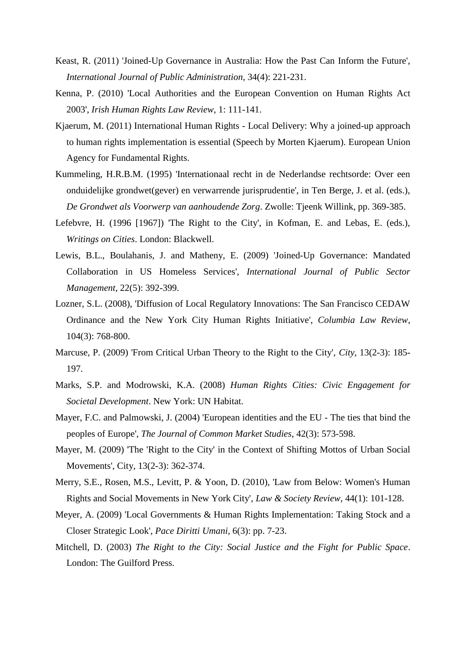- Keast, R. (2011) 'Joined-Up Governance in Australia: How the Past Can Inform the Future', *International Journal of Public Administration*, 34(4): 221-231.
- Kenna, P. (2010) 'Local Authorities and the European Convention on Human Rights Act 2003', *Irish Human Rights Law Review*, 1: 111-141.
- Kjaerum, M. (2011) International Human Rights Local Delivery: Why a joined-up approach to human rights implementation is essential (Speech by Morten Kjaerum). European Union Agency for Fundamental Rights.
- Kummeling, H.R.B.M. (1995) 'Internationaal recht in de Nederlandse rechtsorde: Over een onduidelijke grondwet(gever) en verwarrende jurisprudentie', in Ten Berge, J. et al. (eds.), *De Grondwet als Voorwerp van aanhoudende Zorg*. Zwolle: Tjeenk Willink, pp. 369-385.
- Lefebvre, H. (1996 [1967]) 'The Right to the City', in Kofman, E. and Lebas, E. (eds.), *Writings on Cities*. London: Blackwell.
- Lewis, B.L., Boulahanis, J. and Matheny, E. (2009) 'Joined-Up Governance: Mandated Collaboration in US Homeless Services', *International Journal of Public Sector Management*, 22(5): 392-399.
- Lozner, S.L. (2008), 'Diffusion of Local Regulatory Innovations: The San Francisco CEDAW Ordinance and the New York City Human Rights Initiative', *Columbia Law Review*, 104(3): 768-800.
- Marcuse, P. (2009) 'From Critical Urban Theory to the Right to the City', *City*, 13(2-3): 185- 197.
- Marks, S.P. and Modrowski, K.A. (2008) *Human Rights Cities: Civic Engagement for Societal Development*. New York: UN Habitat.
- Mayer, F.C. and Palmowski, J. (2004) 'European identities and the EU The ties that bind the peoples of Europe', *The Journal of Common Market Studies*, 42(3): 573-598.
- Mayer, M. (2009) 'The 'Right to the City' in the Context of Shifting Mottos of Urban Social Movements', City, 13(2-3): 362-374.
- Merry, S.E., Rosen, M.S., Levitt, P. & Yoon, D. (2010), 'Law from Below: Women's Human Rights and Social Movements in New York City', *Law & Society Review*, 44(1): 101-128.
- Meyer, A. (2009) 'Local Governments & Human Rights Implementation: Taking Stock and a Closer Strategic Look', *Pace Diritti Umani*, 6(3): pp. 7-23.
- Mitchell, D. (2003) *The Right to the City: Social Justice and the Fight for Public Space*. London: The Guilford Press.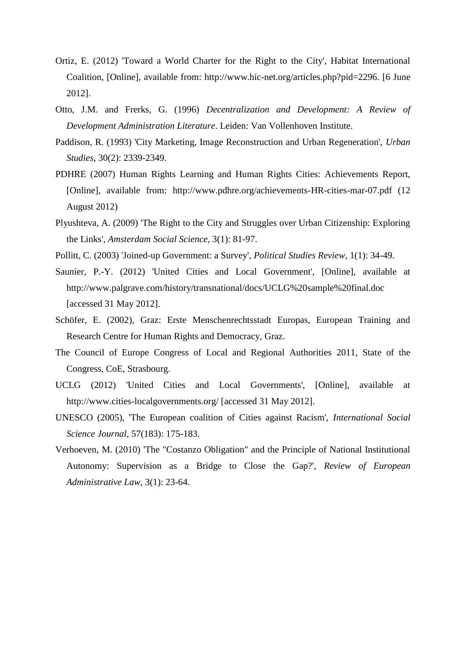- Ortiz, E. (2012) 'Toward a World Charter for the Right to the City', Habitat International Coalition, [Online], available from: http://www.hic-net.org/articles.php?pid=2296. [6 June 2012].
- Otto, J.M. and Frerks, G. (1996) *Decentralization and Development: A Review of Development Administration Literature*. Leiden: Van Vollenhoven Institute.
- Paddison, R. (1993) 'City Marketing, Image Reconstruction and Urban Regeneration', *Urban Studies*, 30(2): 2339-2349.
- PDHRE (2007) Human Rights Learning and Human Rights Cities: Achievements Report, [Online], available from: http://www.pdhre.org/achievements-HR-cities-mar-07.pdf (12 August 2012)
- Plyushteva, A. (2009) 'The Right to the City and Struggles over Urban Citizenship: Exploring the Links', *Amsterdam Social Science*, 3(1): 81-97.
- Pollitt, C. (2003) 'Joined-up Government: a Survey', *Political Studies Review*, 1(1): 34-49.
- Saunier, P.-Y. (2012) 'United Cities and Local Government', [Online], available at http://www.palgrave.com/history/transnational/docs/UCLG%20sample%20final.doc [accessed 31 May 2012].
- Schöfer, E. (2002), Graz: Erste Menschenrechtsstadt Europas, European Training and Research Centre for Human Rights and Democracy, Graz.
- The Council of Europe Congress of Local and Regional Authorities 2011, State of the Congress, CoE, Strasbourg.
- UCLG (2012) 'United Cities and Local Governments', [Online], available at http://www.cities-localgovernments.org/ [accessed 31 May 2012].
- UNESCO (2005), 'The European coalition of Cities against Racism', *International Social Science Journal*, 57(183): 175-183.
- Verhoeven, M. (2010) 'The "Costanzo Obligation" and the Principle of National Institutional Autonomy: Supervision as a Bridge to Close the Gap?', *Review of European Administrative Law*, 3(1): 23-64.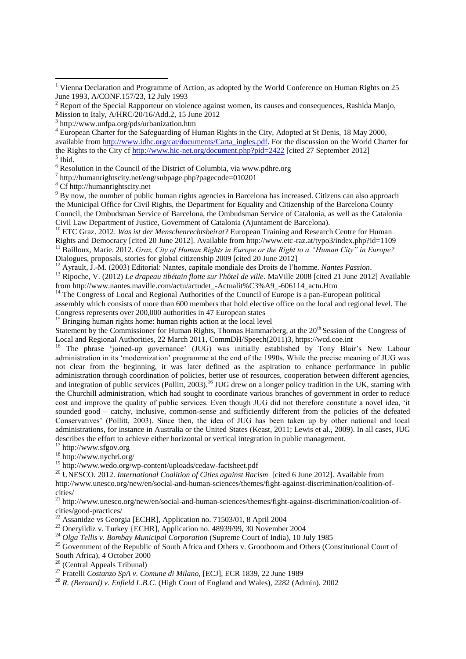<sup>6</sup> Resolution in the Council of the District of Columbia, via www.pdhre.org

7 http://humanrightscity.net/eng/subpage.php?pagecode=010201

<sup>8</sup> Cf http://humanrightscity.net

**.** 

<sup>9</sup> By now, the number of public human rights agencies in Barcelona has increased. Citizens can also approach the Municipal Office for Civil Rights, the Department for Equality and Citizenship of the Barcelona County Council, the Ombudsman Service of Barcelona, the Ombudsman Service of Catalonia, as well as the Catalonia Civil Law Department of Justice, Government of Catalonia (Ajuntament de Barcelona).

<sup>10</sup> ETC Graz. 2012. *Was ist der Menschenrechtsbeirat?* European Training and Research Centre for Human Rights and Democracy [cited 20 June 2012]. Available from http://www.etc-raz.at/typo3/index.php?id=1109 <sup>11</sup> Bailloux, Marie. 2012. *Graz, City of Human Rights in Europe or the Right to a "Human City" in Europe?*

Dialogues, proposals, stories for global citizenship 2009 [cited 20 June 2012]

<sup>12</sup> Ayrault, J.-M. (2003) Editorial: Nantes, capitale mondiale des Droits de l'homme. *Nantes Passion*.

<sup>13</sup> Ripoche, V. (2012) *Le drapeau tibétain flotte sur l'hôtel de ville*. MaVille 2008 [cited 21 June 2012] Available from http://www.nantes.maville.com/actu/actudet\_-Actualit%C3%A9\_-606114\_actu.Htm

<sup>14</sup> The Congress of Local and Regional Authorities of the Council of Europe is a pan-European political assembly which consists of more than 600 members that hold elective office on the local and regional level. The Congress represents over 200,000 authorities in 47 European states

<sup>15</sup> Bringing human rights home: human rights action at the local level

Statement by the Commissioner for Human Rights, Thomas Hammarberg, at the  $20<sup>th</sup>$  Session of the Congress of Local and Regional Authorities, 22 March 2011, CommDH/Speech(2011)3, https://wcd.coe.int

<sup>16</sup> The phrase 'joined-up governance' (JUG) was initially established by Tony Blair's New Labour administration in its 'modernization' programme at the end of the 1990s. While the precise meaning of JUG was not clear from the beginning, it was later defined as the aspiration to enhance performance in public administration through coordination of policies, better use of resources, cooperation between different agencies, and integration of public services (Pollitt, 2003).<sup>16</sup> JUG drew on a longer policy tradition in the UK, starting with the Churchill administration, which had sought to coordinate various branches of government in order to reduce cost and improve the quality of public services. Even though JUG did not therefore constitute a novel idea, 'it sounded good – catchy, inclusive, common-sense and sufficiently different from the policies of the defeated Conservatives' (Pollitt, 2003). Since then, the idea of JUG has been taken up by other national and local administrations, for instance in Australia or the United States (Keast, 2011; Lewis et al., 2009). In all cases, JUG describes the effort to achieve either horizontal or vertical integration in public management.

<sup>17</sup> http://www.sfgov.org

<sup>18</sup> http://www.nychri.org/

<sup>19</sup> http://www.wedo.org/wp-content/uploads/cedaw-factsheet.pdf

<sup>20</sup> UNESCO. 2012. *International Coalition of Cities against Racism* [cited 6 June 2012]. Available from

http://www.unesco.org/new/en/social-and-human-sciences/themes/fight-against-discrimination/coalition-ofcities/

<sup>21</sup> http://www.unesco.org/new/en/social-and-human-sciences/themes/fight-against-discrimination/coalition-ofcities/good-practices/

<sup>2</sup> Assanidze vs Georgia [ECHR], Application no. 71503/01, 8 April 2004

<sup>23</sup> Oneryildiz v. Turkey {ECHR], Application no. 48939/99, 30 November 2004

<sup>24</sup> *Olga Tellis v. Bombay Municipal Corporation* (Supreme Court of India), 10 July 1985

<sup>25</sup> Government of the Republic of South Africa and Others v. Grootboom and Others (Constitutional Court of South Africa), 4 October 2000

<sup>26</sup> (Central Appeals Tribunal)

<sup>27</sup> Fratelli *Costanzo SpA v. Comune di Milano,* [ECJ], ECR 1839, 22 June 1989

<sup>28</sup> *R. (Bernard) v. Enfield L.B.C.* (High Court of England and Wales), 2282 (Admin). 2002

<sup>&</sup>lt;sup>1</sup> Vienna Declaration and Programme of Action, as adopted by the World Conference on Human Rights on 25 June 1993, A/CONF.157/23, 12 July 1993

 $2$  Report of the Special Rapporteur on violence against women, its causes and consequences, Rashida Manjo, Mission to Italy, A/HRC/20/16/Add.2, 15 June 2012

<sup>3</sup> http://www.unfpa.org/pds/urbanization.htm

<sup>&</sup>lt;sup>4</sup> European Charter for the Safeguarding of Human Rights in the City, Adopted at St Denis, 18 May 2000, available from [http://www.idhc.org/cat/documents/Carta\\_ingles.pdf.](http://www.idhc.org/cat/documents/Carta_ingles.pdf) For the discussion on the World Charter for the Rights to the City cf<http://www.hic-net.org/document.php?pid=2422> [cited 27 September 2012] 5 Ibid.